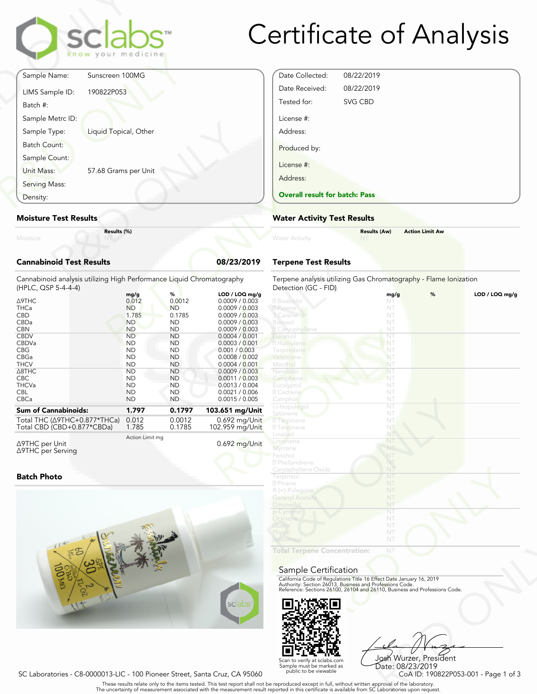# Certificate of Analysis

|                                 | sclabs<br>know your medicine |            |
|---------------------------------|------------------------------|------------|
| Sample Name:                    | Sunscreen 100MG              |            |
| LIMS Sample ID:<br>Batch #:     | 190822P053                   |            |
| Sample Metrc ID:                |                              |            |
| Sample Type:                    | Liquid Topical, Other        |            |
| Batch Count:<br>Sample Count:   |                              |            |
| Unit Mass:<br>Serving Mass:     | 57.68 Grams per Unit         |            |
| Density:                        |                              |            |
| <b>Moisture Test Results</b>    |                              |            |
| Moisture                        | Results (%)                  |            |
| <b>Cannabinoid Test Results</b> |                              | 08/23/2019 |

#### Moisture Test Results

# Cannabinoid Test Results 08/23/2019

| Density:                                                                                     |                    |                     |                                  | <b>Overall result for batc</b>                     |
|----------------------------------------------------------------------------------------------|--------------------|---------------------|----------------------------------|----------------------------------------------------|
| <b>Moisture Test Results</b>                                                                 |                    |                     |                                  | <b>Water Activity Test R</b>                       |
| Results (%)<br>Moisture<br>NY                                                                |                    |                     |                                  | <b>Water Activity</b>                              |
| <b>Cannabinoid Test Results</b>                                                              |                    |                     | 08/23/2019                       | <b>Terpene Test Results</b>                        |
| Cannabinoid analysis utilizing High Performance Liquid Chromatography<br>(HPLC, QSP 5-4-4-4) |                    |                     |                                  | Terpene analysis utilizing<br>Detection (GC - FID) |
|                                                                                              | mg/g               | %                   | LOD / LOQ mg/g                   |                                                    |
| $\triangle$ 9THC                                                                             | 0.012              | 0.0012              | 0.0009 / 0.003                   | 2 Bisabolol                                        |
| <b>THCa</b><br><b>CBD</b>                                                                    | <b>ND</b><br>1.785 | <b>ND</b><br>0.1785 | 0.0009 / 0.003<br>0.0009 / 0.003 | 2 Pinene<br>3 Carene                               |
| CBDa                                                                                         | <b>ND</b>          | <b>ND</b>           | 0.0009 / 0.003                   | Borneol                                            |
| <b>CBN</b>                                                                                   | <b>ND</b>          | <b>ND</b>           | 0.0009 / 0.003                   | 2 Caryophyllene                                    |
| <b>CBDV</b>                                                                                  | <b>ND</b>          | <b>ND</b>           | 0.0004 / 0.001                   | Geranio                                            |
| CBDVa                                                                                        | <b>ND</b>          | <b>ND</b>           | 0.0003 / 0.001                   | 2 Humulene                                         |
| <b>CBG</b>                                                                                   | <b>ND</b>          | <b>ND</b>           | 0.001 / 0.003                    | Terpinolene                                        |
| CBGa                                                                                         | <b>ND</b>          | <b>ND</b>           | 0.0008 / 0.002                   | Valencene                                          |
| <b>THCV</b>                                                                                  | <b>ND</b>          | <b>ND</b>           | 0.0004 / 0.001                   | Menthol                                            |
| $\triangle$ 8THC                                                                             | <b>ND</b>          | <b>ND</b>           | 0.0009 / 0.003                   | Nerolidol                                          |
| <b>CBC</b>                                                                                   | <b>ND</b>          | <b>ND</b>           | 0.0011 / 0.003                   | Camphene                                           |
| <b>THCVa</b>                                                                                 | <b>ND</b>          | <b>ND</b>           | 0.0013 / 0.004                   | Eucalyptol                                         |
| <b>CBL</b>                                                                                   | <b>ND</b>          | <b>ND</b>           | 0.0021 / 0.006                   | 2 Cedrene                                          |
| CBCa                                                                                         | <b>ND</b>          | <b>ND</b>           | 0.0015 / 0.005                   | Camphor                                            |
| <b>Sum of Cannabinoids:</b>                                                                  | 1.797              | 0.1797              | 103.651 mg/Unit                  | (-)-Isopulegol<br>Sabinene                         |
| Total THC ( $\triangle$ 9THC+0.877*THCa)                                                     | 0.012              | 0.0012              | $0.692$ mg/Unit                  | <b>7</b> Terpinene                                 |
| Total CBD (CBD+0.877*CBDa)                                                                   | 1.785              | 0.1785              | 102.959 mg/Unit                  | <b>27 Terpinene</b>                                |
|                                                                                              |                    |                     |                                  |                                                    |

Δ9THC per Unit Δ9THC per Serving Action Limit mg

# Batch Photo



| Date Collected:                       | 08/22/2019 |  |
|---------------------------------------|------------|--|
| Date Received:                        | 08/22/2019 |  |
| Tested for:                           | SVG CBD    |  |
| License #:<br>Address:                |            |  |
| Produced by:                          |            |  |
| License #:                            |            |  |
| Address:                              |            |  |
| <b>Overall result for batch: Pass</b> |            |  |

#### Water Activity Test Results

| <b>Water Activity</b> | <b>Results (Aw)</b><br>NT. | <b>Action Limit Aw</b> |  |
|-----------------------|----------------------------|------------------------|--|
|                       |                            |                        |  |

# Terpene Test Results

| LOD / LOQ mg/g<br>%<br>LOD / LOQ mg/g<br>mg/g<br>2 Bisabolol<br>0.0009 / 0.003<br>NT<br>0.0009 / 0.003<br>2 Pinene<br>NT<br>3 Carene<br>0.0009 / 0.003<br>NT<br>Borneol<br>0.0009 / 0.003<br>NT<br>0.0009 / 0.003<br><b>Z</b> Caryophyllene<br>NT<br>Geraniol<br>NT<br>0.0004 / 0.001<br>2 Humulene<br>NT<br>0.0003 / 0.001<br>0.001 / 0.003<br>Terpinolene<br>NT<br>NT<br>0.0008 / 0.002<br>Valencene<br>0.0004 / 0.001<br>Menthol<br>NT<br>0.0009 / 0.003<br>Nerolidol<br>NT<br>0.0011 / 0.003<br>NT<br>Camphene<br>0.0013 / 0.004<br>Eucalyptol<br>NT<br>0.0021 / 0.006<br>2 Cedrene<br>NT<br>0.0015 / 0.005<br>NT<br>Camphor<br>(-)-Isopulegol<br>NT<br>3.651 mg/Unit<br>Sabinene<br>NT<br>$0.692$ mg/Unit<br><b>7</b> Terpinene<br>NT.<br>02.959 mg/Unit<br><b>27 Terpinene</b><br>NT<br>Linalool<br>NT<br>Limonene<br>NT<br>0.692 mg/Unit<br>NT<br><b>Myrcene</b><br>Fenchol<br>NT<br>2 Phellandrene<br>NT<br>NT<br>Caryophyllene Oxide<br>NT<br>Terpineol<br>2 Pinene<br>NT<br>NT<br>R-(+)-Pulegone<br><b>Geranyl Acetate</b><br>NT<br>Citronellol<br>NT<br>NT<br>p-Cymene<br>Ocimene<br>NT<br>NT<br>Guaiol<br>Phytol<br>NT<br>NT<br><b>Isoborneo</b><br><b>Total Terpene Concentration:</b><br>NT<br>Sample Certification<br>California Code of Regulations Title 16 Effect Date January 16, 2019<br>Authority: Section 26013, Business and Professions Code.<br>Reference: Sections 26100, 26104 and 26110, Business and Professions Code.<br>sclabs <sup>®</sup> | atography | Terpene analysis utilizing Gas Chromatography - Flame Ionization<br>Detection (GC - FID) |  |  |
|----------------------------------------------------------------------------------------------------------------------------------------------------------------------------------------------------------------------------------------------------------------------------------------------------------------------------------------------------------------------------------------------------------------------------------------------------------------------------------------------------------------------------------------------------------------------------------------------------------------------------------------------------------------------------------------------------------------------------------------------------------------------------------------------------------------------------------------------------------------------------------------------------------------------------------------------------------------------------------------------------------------------------------------------------------------------------------------------------------------------------------------------------------------------------------------------------------------------------------------------------------------------------------------------------------------------------------------------------------------------------------------------------------------------------------------------------------------------------|-----------|------------------------------------------------------------------------------------------|--|--|
|                                                                                                                                                                                                                                                                                                                                                                                                                                                                                                                                                                                                                                                                                                                                                                                                                                                                                                                                                                                                                                                                                                                                                                                                                                                                                                                                                                                                                                                                            |           |                                                                                          |  |  |
|                                                                                                                                                                                                                                                                                                                                                                                                                                                                                                                                                                                                                                                                                                                                                                                                                                                                                                                                                                                                                                                                                                                                                                                                                                                                                                                                                                                                                                                                            |           |                                                                                          |  |  |
|                                                                                                                                                                                                                                                                                                                                                                                                                                                                                                                                                                                                                                                                                                                                                                                                                                                                                                                                                                                                                                                                                                                                                                                                                                                                                                                                                                                                                                                                            |           |                                                                                          |  |  |
|                                                                                                                                                                                                                                                                                                                                                                                                                                                                                                                                                                                                                                                                                                                                                                                                                                                                                                                                                                                                                                                                                                                                                                                                                                                                                                                                                                                                                                                                            |           |                                                                                          |  |  |
|                                                                                                                                                                                                                                                                                                                                                                                                                                                                                                                                                                                                                                                                                                                                                                                                                                                                                                                                                                                                                                                                                                                                                                                                                                                                                                                                                                                                                                                                            |           |                                                                                          |  |  |
|                                                                                                                                                                                                                                                                                                                                                                                                                                                                                                                                                                                                                                                                                                                                                                                                                                                                                                                                                                                                                                                                                                                                                                                                                                                                                                                                                                                                                                                                            |           |                                                                                          |  |  |
|                                                                                                                                                                                                                                                                                                                                                                                                                                                                                                                                                                                                                                                                                                                                                                                                                                                                                                                                                                                                                                                                                                                                                                                                                                                                                                                                                                                                                                                                            |           |                                                                                          |  |  |
|                                                                                                                                                                                                                                                                                                                                                                                                                                                                                                                                                                                                                                                                                                                                                                                                                                                                                                                                                                                                                                                                                                                                                                                                                                                                                                                                                                                                                                                                            |           |                                                                                          |  |  |
|                                                                                                                                                                                                                                                                                                                                                                                                                                                                                                                                                                                                                                                                                                                                                                                                                                                                                                                                                                                                                                                                                                                                                                                                                                                                                                                                                                                                                                                                            |           |                                                                                          |  |  |
|                                                                                                                                                                                                                                                                                                                                                                                                                                                                                                                                                                                                                                                                                                                                                                                                                                                                                                                                                                                                                                                                                                                                                                                                                                                                                                                                                                                                                                                                            |           |                                                                                          |  |  |
|                                                                                                                                                                                                                                                                                                                                                                                                                                                                                                                                                                                                                                                                                                                                                                                                                                                                                                                                                                                                                                                                                                                                                                                                                                                                                                                                                                                                                                                                            |           |                                                                                          |  |  |
|                                                                                                                                                                                                                                                                                                                                                                                                                                                                                                                                                                                                                                                                                                                                                                                                                                                                                                                                                                                                                                                                                                                                                                                                                                                                                                                                                                                                                                                                            |           |                                                                                          |  |  |
|                                                                                                                                                                                                                                                                                                                                                                                                                                                                                                                                                                                                                                                                                                                                                                                                                                                                                                                                                                                                                                                                                                                                                                                                                                                                                                                                                                                                                                                                            |           |                                                                                          |  |  |
|                                                                                                                                                                                                                                                                                                                                                                                                                                                                                                                                                                                                                                                                                                                                                                                                                                                                                                                                                                                                                                                                                                                                                                                                                                                                                                                                                                                                                                                                            |           |                                                                                          |  |  |
|                                                                                                                                                                                                                                                                                                                                                                                                                                                                                                                                                                                                                                                                                                                                                                                                                                                                                                                                                                                                                                                                                                                                                                                                                                                                                                                                                                                                                                                                            |           |                                                                                          |  |  |
|                                                                                                                                                                                                                                                                                                                                                                                                                                                                                                                                                                                                                                                                                                                                                                                                                                                                                                                                                                                                                                                                                                                                                                                                                                                                                                                                                                                                                                                                            |           |                                                                                          |  |  |
|                                                                                                                                                                                                                                                                                                                                                                                                                                                                                                                                                                                                                                                                                                                                                                                                                                                                                                                                                                                                                                                                                                                                                                                                                                                                                                                                                                                                                                                                            |           |                                                                                          |  |  |
|                                                                                                                                                                                                                                                                                                                                                                                                                                                                                                                                                                                                                                                                                                                                                                                                                                                                                                                                                                                                                                                                                                                                                                                                                                                                                                                                                                                                                                                                            |           |                                                                                          |  |  |
|                                                                                                                                                                                                                                                                                                                                                                                                                                                                                                                                                                                                                                                                                                                                                                                                                                                                                                                                                                                                                                                                                                                                                                                                                                                                                                                                                                                                                                                                            |           |                                                                                          |  |  |
|                                                                                                                                                                                                                                                                                                                                                                                                                                                                                                                                                                                                                                                                                                                                                                                                                                                                                                                                                                                                                                                                                                                                                                                                                                                                                                                                                                                                                                                                            |           |                                                                                          |  |  |
|                                                                                                                                                                                                                                                                                                                                                                                                                                                                                                                                                                                                                                                                                                                                                                                                                                                                                                                                                                                                                                                                                                                                                                                                                                                                                                                                                                                                                                                                            |           |                                                                                          |  |  |
|                                                                                                                                                                                                                                                                                                                                                                                                                                                                                                                                                                                                                                                                                                                                                                                                                                                                                                                                                                                                                                                                                                                                                                                                                                                                                                                                                                                                                                                                            |           |                                                                                          |  |  |
|                                                                                                                                                                                                                                                                                                                                                                                                                                                                                                                                                                                                                                                                                                                                                                                                                                                                                                                                                                                                                                                                                                                                                                                                                                                                                                                                                                                                                                                                            |           |                                                                                          |  |  |
|                                                                                                                                                                                                                                                                                                                                                                                                                                                                                                                                                                                                                                                                                                                                                                                                                                                                                                                                                                                                                                                                                                                                                                                                                                                                                                                                                                                                                                                                            |           |                                                                                          |  |  |
|                                                                                                                                                                                                                                                                                                                                                                                                                                                                                                                                                                                                                                                                                                                                                                                                                                                                                                                                                                                                                                                                                                                                                                                                                                                                                                                                                                                                                                                                            |           |                                                                                          |  |  |
|                                                                                                                                                                                                                                                                                                                                                                                                                                                                                                                                                                                                                                                                                                                                                                                                                                                                                                                                                                                                                                                                                                                                                                                                                                                                                                                                                                                                                                                                            |           |                                                                                          |  |  |
|                                                                                                                                                                                                                                                                                                                                                                                                                                                                                                                                                                                                                                                                                                                                                                                                                                                                                                                                                                                                                                                                                                                                                                                                                                                                                                                                                                                                                                                                            |           |                                                                                          |  |  |
|                                                                                                                                                                                                                                                                                                                                                                                                                                                                                                                                                                                                                                                                                                                                                                                                                                                                                                                                                                                                                                                                                                                                                                                                                                                                                                                                                                                                                                                                            |           |                                                                                          |  |  |
|                                                                                                                                                                                                                                                                                                                                                                                                                                                                                                                                                                                                                                                                                                                                                                                                                                                                                                                                                                                                                                                                                                                                                                                                                                                                                                                                                                                                                                                                            |           |                                                                                          |  |  |
|                                                                                                                                                                                                                                                                                                                                                                                                                                                                                                                                                                                                                                                                                                                                                                                                                                                                                                                                                                                                                                                                                                                                                                                                                                                                                                                                                                                                                                                                            |           |                                                                                          |  |  |
|                                                                                                                                                                                                                                                                                                                                                                                                                                                                                                                                                                                                                                                                                                                                                                                                                                                                                                                                                                                                                                                                                                                                                                                                                                                                                                                                                                                                                                                                            |           |                                                                                          |  |  |
|                                                                                                                                                                                                                                                                                                                                                                                                                                                                                                                                                                                                                                                                                                                                                                                                                                                                                                                                                                                                                                                                                                                                                                                                                                                                                                                                                                                                                                                                            |           |                                                                                          |  |  |
|                                                                                                                                                                                                                                                                                                                                                                                                                                                                                                                                                                                                                                                                                                                                                                                                                                                                                                                                                                                                                                                                                                                                                                                                                                                                                                                                                                                                                                                                            |           |                                                                                          |  |  |
|                                                                                                                                                                                                                                                                                                                                                                                                                                                                                                                                                                                                                                                                                                                                                                                                                                                                                                                                                                                                                                                                                                                                                                                                                                                                                                                                                                                                                                                                            |           |                                                                                          |  |  |
|                                                                                                                                                                                                                                                                                                                                                                                                                                                                                                                                                                                                                                                                                                                                                                                                                                                                                                                                                                                                                                                                                                                                                                                                                                                                                                                                                                                                                                                                            |           |                                                                                          |  |  |
|                                                                                                                                                                                                                                                                                                                                                                                                                                                                                                                                                                                                                                                                                                                                                                                                                                                                                                                                                                                                                                                                                                                                                                                                                                                                                                                                                                                                                                                                            |           |                                                                                          |  |  |
|                                                                                                                                                                                                                                                                                                                                                                                                                                                                                                                                                                                                                                                                                                                                                                                                                                                                                                                                                                                                                                                                                                                                                                                                                                                                                                                                                                                                                                                                            |           |                                                                                          |  |  |
|                                                                                                                                                                                                                                                                                                                                                                                                                                                                                                                                                                                                                                                                                                                                                                                                                                                                                                                                                                                                                                                                                                                                                                                                                                                                                                                                                                                                                                                                            |           |                                                                                          |  |  |
|                                                                                                                                                                                                                                                                                                                                                                                                                                                                                                                                                                                                                                                                                                                                                                                                                                                                                                                                                                                                                                                                                                                                                                                                                                                                                                                                                                                                                                                                            |           |                                                                                          |  |  |
|                                                                                                                                                                                                                                                                                                                                                                                                                                                                                                                                                                                                                                                                                                                                                                                                                                                                                                                                                                                                                                                                                                                                                                                                                                                                                                                                                                                                                                                                            |           |                                                                                          |  |  |
|                                                                                                                                                                                                                                                                                                                                                                                                                                                                                                                                                                                                                                                                                                                                                                                                                                                                                                                                                                                                                                                                                                                                                                                                                                                                                                                                                                                                                                                                            |           |                                                                                          |  |  |
|                                                                                                                                                                                                                                                                                                                                                                                                                                                                                                                                                                                                                                                                                                                                                                                                                                                                                                                                                                                                                                                                                                                                                                                                                                                                                                                                                                                                                                                                            |           |                                                                                          |  |  |
|                                                                                                                                                                                                                                                                                                                                                                                                                                                                                                                                                                                                                                                                                                                                                                                                                                                                                                                                                                                                                                                                                                                                                                                                                                                                                                                                                                                                                                                                            |           |                                                                                          |  |  |
|                                                                                                                                                                                                                                                                                                                                                                                                                                                                                                                                                                                                                                                                                                                                                                                                                                                                                                                                                                                                                                                                                                                                                                                                                                                                                                                                                                                                                                                                            |           |                                                                                          |  |  |
|                                                                                                                                                                                                                                                                                                                                                                                                                                                                                                                                                                                                                                                                                                                                                                                                                                                                                                                                                                                                                                                                                                                                                                                                                                                                                                                                                                                                                                                                            |           |                                                                                          |  |  |
|                                                                                                                                                                                                                                                                                                                                                                                                                                                                                                                                                                                                                                                                                                                                                                                                                                                                                                                                                                                                                                                                                                                                                                                                                                                                                                                                                                                                                                                                            |           |                                                                                          |  |  |
|                                                                                                                                                                                                                                                                                                                                                                                                                                                                                                                                                                                                                                                                                                                                                                                                                                                                                                                                                                                                                                                                                                                                                                                                                                                                                                                                                                                                                                                                            |           |                                                                                          |  |  |

#### Sample Certification



NT<br>
NT<br>
Fect Date January 16, 2019<br>
rofessions Code.<br>
9110, Business and Professions Code.<br>
910, Business and Professions Code.<br>
9223/2019<br>
CoA ID: 190822P053-001 - Page 1 of 3<br>
pproval of the laboratories upon request. Josh Wurzer, President Date: 08/23/2019

SC Laboratories - C8-0000013-LIC - 100 Pioneer Street, Santa Cruz, CA 95060

. These results relate only to the items tested. This test report shall not be reproduced except in full, without written approval of the laboratory.<br>The uncertainty of measurement associated with the measurement result re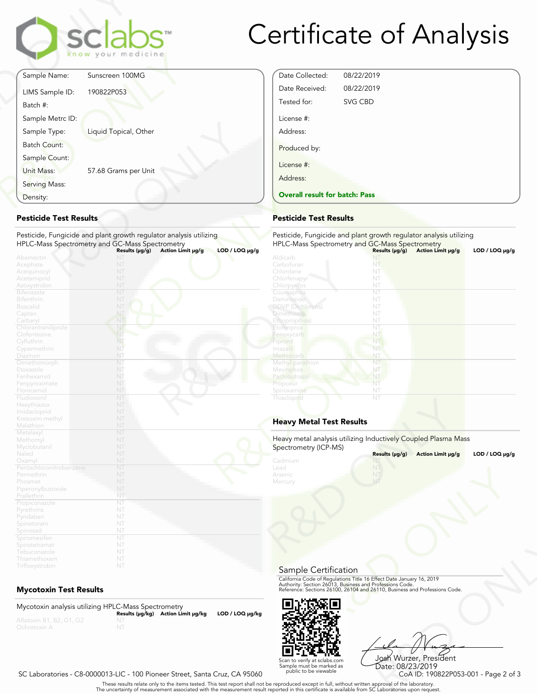

# Certificate of Analysis

Date Collected: 08/22/2019 Date Received: 08/22/2019 Tested for: SVG CBD

Overall result for batch: Pass

License #: Address:

Produced by:

License #: Address:

|                     | <b>sclabs</b><br>know your medicine                                                                                                                          |                                                    |
|---------------------|--------------------------------------------------------------------------------------------------------------------------------------------------------------|----------------------------------------------------|
|                     | Sunscreen 100MG                                                                                                                                              | Sample Name:                                       |
|                     | 190822P053                                                                                                                                                   | LIMS Sample ID:<br>Batch #:                        |
|                     |                                                                                                                                                              | Sample Metrc ID:                                   |
|                     | Liquid Topical, Other                                                                                                                                        | Sample Type:                                       |
|                     | 57.68 Grams per Unit                                                                                                                                         | <b>Batch Count:</b><br>Sample Count:<br>Unit Mass: |
|                     |                                                                                                                                                              | Serving Mass:                                      |
|                     |                                                                                                                                                              |                                                    |
| $LOD / LOQ \mu g/g$ | Pesticide, Fungicide and plant growth regulator analysis utilizing<br>HPLC-Mass Spectrometry and GC-Mass Spectrometry<br>Results (µg/g)<br>Action Limit µg/g | <b>Pesticide Test Results</b><br>Abamectin         |
|                     |                                                                                                                                                              | Density:<br>Acephate<br>Acequinocyl                |

#### Pesticide Test Results

| Density:                                                                                       |                                                                                                                       | <b>Overall result for batc</b>                                                   |
|------------------------------------------------------------------------------------------------|-----------------------------------------------------------------------------------------------------------------------|----------------------------------------------------------------------------------|
| <b>Pesticide Test Results</b>                                                                  |                                                                                                                       | <b>Pesticide Test Results</b>                                                    |
|                                                                                                | Pesticide, Fungicide and plant growth regulator analysis utilizing<br>HPLC-Mass Spectrometry and GC-Mass Spectrometry | Pesticide, Fungicide and<br><b>HPLC-Mass Spectrometry</b>                        |
| Abamectin<br>Acephate<br>Acequinocyl<br>Acetamiprid<br>Azoxystrobin<br><b>Bifenazate</b>       | $LOD / LOQ$ µg/g<br>Action Limit µg/g<br>Results (µg/g)<br>NT<br>NT<br>NT<br>NT<br>NT<br>NT                           | Aldicarb<br>Carbofuran<br>Chlordane<br>Chlorfenapyr<br>Chlorpyritos<br>Coumaphos |
| <b>Bifenthrin</b><br><b>Boscalid</b><br>Captan<br>Carbaryl<br>Chlorantraniliprole              | NT<br>NT<br>NT<br>NT<br>NT                                                                                            | Daminozide<br>DDVP (Dichlorvos)<br><b>Dimethoate</b><br>Ethoprop(hos)            |
| Clofentezine<br>Cyfluthrin<br>Cypermethrin<br>Diazinon                                         | NT<br>NT<br>NT<br>NT                                                                                                  | Etofenprox<br>Fenoxycarb<br>Fipronil<br>Imazalil<br>Methiocarb                   |
| Dimethomorph<br>Etoxazole<br>Fenhexamid<br>Fenpyroximate<br>Flonicamid                         | NT<br>NT<br>NT<br>NT<br>NT                                                                                            | Methyl parathion<br>Mevinphos<br>Paclobutrazo<br>Propoxur<br>Spiroxamine         |
| Fludioxonil<br>Hexythiazox<br>Imidacloprid<br>Kresoxim-methyl<br>Malathion                     | NT<br>NT<br>NT<br>NT<br>NT                                                                                            | Thiacloprid<br><b>Heavy Metal Test Res</b>                                       |
| Metalaxyl<br>Methomyl<br>Myclobutanil<br>Naled                                                 | NT<br>NT<br>NT<br>NT                                                                                                  | Heavy metal analysis utiliz<br>Spectrometry (ICP-MS)                             |
| Oxamyl<br>Pentachloronitrobenzene<br>Permethrin<br>Phosmet<br>Piperonylbutoxide<br>Prallethrin | NT<br>NT<br>NT<br>NT<br>NT<br>NT                                                                                      | Cadmium<br>Lead<br>Arsenic<br>Mercury                                            |
| Propiconazole<br>Pyrethrins<br>Pyridaben<br>Spinetoram<br>Spinosad                             | NT<br>NT<br>NT<br>NT<br>NT                                                                                            |                                                                                  |
| Spiromesifen<br>Spirotetramat<br>Tebuconazole<br>Thiamethoxam<br>Trifloxystrobin               | NT<br>NT<br>NT<br>NT<br>NT                                                                                            |                                                                                  |

# Mycotoxin Test Results

Mycotoxin analysis utilizing HPLC-Mass Spectrometry Results (μg/kg) Action Limit μg/kg LOD / LOQ μg/kg NT



Frect Date January 16, 2019<br>
Trofessions Code.<br>
110, Business and Professions Code.<br>
110, Business and Professions Code.<br>
108 Wurzer, President<br>
Date: 08/23/2019<br>
CoA ID: 190822P053-001 - Page 2 of 3<br>
pproval of the labora Josh Wurzer, President Date: 08/23/2019

SC Laboratories - C8-0000013-LIC - 100 Pioneer Street, Santa Cruz, CA 95060

. These results relate only to the items tested. This test report shall not be reproduced except in full, without written approval of the laboratory.<br>The uncertainty of measurement associated with the measurement result re

Scan to verify at sclabs.com Sample must be marked as public to be viewable

NT NT

HPLC-Mass Spectrometry and GC-Mass Spectrometry<br>Aldicarb **Community States (μg/g) Action Limit μg/g LOD / LOQ μg/g** 

Pesticide, Fungicide and plant growth regulator analysis utilizing

NT

| DDVP (Dichlorvos)<br><b>Dimethoate</b> | NT<br>NT                                                       |                |
|----------------------------------------|----------------------------------------------------------------|----------------|
| Ethoprop(hos)                          | NT                                                             |                |
| Etofenprox                             | NT                                                             |                |
| Fenoxycarb                             | NT                                                             |                |
|                                        | NT                                                             |                |
| Fipronil<br>Imazalil                   | NT                                                             |                |
|                                        |                                                                |                |
| Methiocarb                             | NT                                                             |                |
| Methyl parathion                       | NT                                                             |                |
| <b>Mevinphos</b>                       | NT                                                             |                |
| Paclobutrazol                          | NT                                                             |                |
| Propoxur                               | NT                                                             |                |
| Spiroxamine                            | NT                                                             |                |
| Thiacloprid                            | NT                                                             |                |
| <b>Heavy Metal Test Results</b>        |                                                                |                |
|                                        |                                                                |                |
| Spectrometry (ICP-MS)                  | Heavy metal analysis utilizing Inductively Coupled Plasma Mass |                |
|                                        | Results (µg/g)<br>Action Limit µg/g                            | LOD / LOQ µg/g |
| Cadmium                                | NT                                                             |                |
| Lead<br>Arsenic                        | NT                                                             |                |

# Heavy Metal Test Results

| $LOD / LOQ \mu g/g$ |
|---------------------|
|                     |
|                     |
|                     |
|                     |
|                     |
|                     |
|                     |